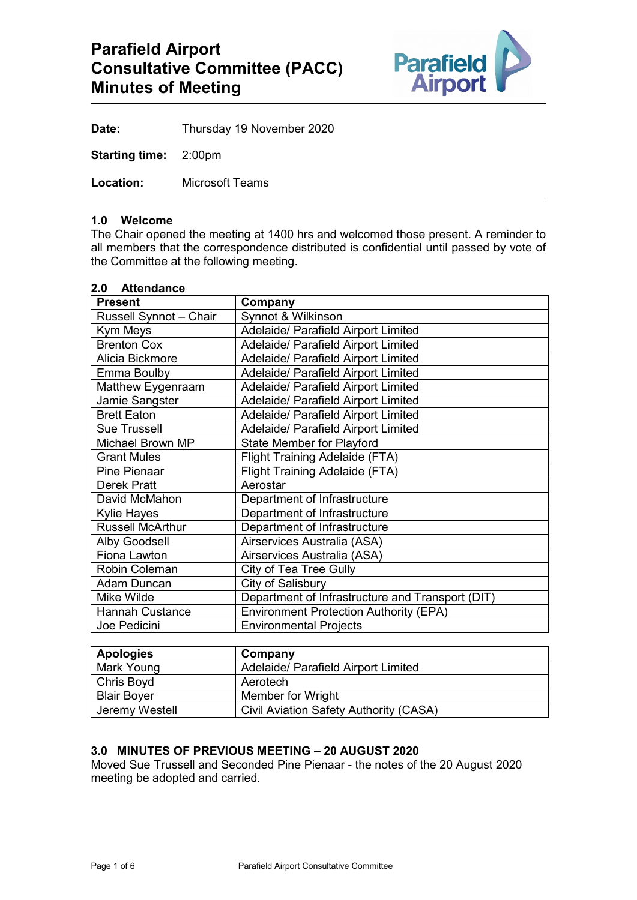

**Date:** Thursday 19 November 2020

**Starting time:** 2:00pm

**Location:** Microsoft Teams

## **1.0 Welcome**

The Chair opened the meeting at 1400 hrs and welcomed those present. A reminder to all members that the correspondence distributed is confidential until passed by vote of the Committee at the following meeting.

| 2.0 Attendance          |                                                  |
|-------------------------|--------------------------------------------------|
| <b>Present</b>          | Company                                          |
| Russell Synnot - Chair  | Synnot & Wilkinson                               |
| Kym Meys                | Adelaide/ Parafield Airport Limited              |
| <b>Brenton Cox</b>      | Adelaide/ Parafield Airport Limited              |
| Alicia Bickmore         | Adelaide/ Parafield Airport Limited              |
| Emma Boulby             | Adelaide/ Parafield Airport Limited              |
| Matthew Eygenraam       | Adelaide/ Parafield Airport Limited              |
| Jamie Sangster          | Adelaide/ Parafield Airport Limited              |
| <b>Brett Eaton</b>      | Adelaide/ Parafield Airport Limited              |
| <b>Sue Trussell</b>     | Adelaide/ Parafield Airport Limited              |
| Michael Brown MP        | <b>State Member for Playford</b>                 |
| <b>Grant Mules</b>      | <b>Flight Training Adelaide (FTA)</b>            |
| <b>Pine Pienaar</b>     | <b>Flight Training Adelaide (FTA)</b>            |
| <b>Derek Pratt</b>      | Aerostar                                         |
| David McMahon           | Department of Infrastructure                     |
| <b>Kylie Hayes</b>      | Department of Infrastructure                     |
| <b>Russell McArthur</b> | Department of Infrastructure                     |
| <b>Alby Goodsell</b>    | Airservices Australia (ASA)                      |
| Fiona Lawton            | Airservices Australia (ASA)                      |
| Robin Coleman           | City of Tea Tree Gully                           |
| Adam Duncan             | City of Salisbury                                |
| Mike Wilde              | Department of Infrastructure and Transport (DIT) |
| <b>Hannah Custance</b>  | <b>Environment Protection Authority (EPA)</b>    |
| Joe Pedicini            | <b>Environmental Projects</b>                    |

| <b>Apologies</b>   | Company                                       |
|--------------------|-----------------------------------------------|
| Mark Young         | <b>Adelaide/ Parafield Airport Limited</b>    |
| <b>Chris Boyd</b>  | Aerotech                                      |
| <b>Blair Bover</b> | Member for Wright                             |
| Jeremy Westell     | <b>Civil Aviation Safety Authority (CASA)</b> |

## **3.0 MINUTES OF PREVIOUS MEETING – 20 AUGUST 2020**

Moved Sue Trussell and Seconded Pine Pienaar - the notes of the 20 August 2020 meeting be adopted and carried.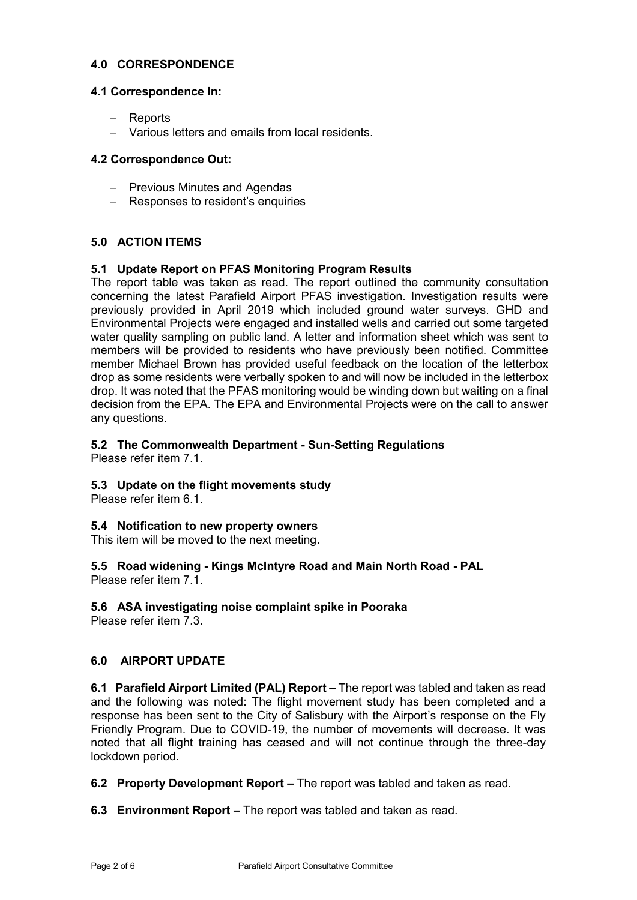## **4.0 CORRESPONDENCE**

## **4.1 Correspondence In:**

- − Reports
- − Various letters and emails from local residents.

## **4.2 Correspondence Out:**

- − Previous Minutes and Agendas
- − Responses to resident's enquiries

## **5.0 ACTION ITEMS**

## **5.1 Update Report on PFAS Monitoring Program Results**

The report table was taken as read. The report outlined the community consultation concerning the latest Parafield Airport PFAS investigation. Investigation results were previously provided in April 2019 which included ground water surveys. GHD and Environmental Projects were engaged and installed wells and carried out some targeted water quality sampling on public land. A letter and information sheet which was sent to members will be provided to residents who have previously been notified. Committee member Michael Brown has provided useful feedback on the location of the letterbox drop as some residents were verbally spoken to and will now be included in the letterbox drop. It was noted that the PFAS monitoring would be winding down but waiting on a final decision from the EPA. The EPA and Environmental Projects were on the call to answer any questions.

## **5.2 The Commonwealth Department - Sun-Setting Regulations**

Please refer item 7.1.

# **5.3 Update on the flight movements study**

Please refer item 6.1.

### **5.4 Notification to new property owners**

This item will be moved to the next meeting.

#### **5.5 Road widening - Kings McIntyre Road and Main North Road - PAL** Please refer item 7.1.

# **5.6 ASA investigating noise complaint spike in Pooraka**

Please refer item  $\overline{7}$  3.

# **6.0 AIRPORT UPDATE**

**6.1 Parafield Airport Limited (PAL) Report –** The report was tabled and taken as read and the following was noted: The flight movement study has been completed and a response has been sent to the City of Salisbury with the Airport's response on the Fly Friendly Program. Due to COVID-19, the number of movements will decrease. It was noted that all flight training has ceased and will not continue through the three-day lockdown period.

**6.2 Property Development Report –** The report was tabled and taken as read.

**6.3 Environment Report –** The report was tabled and taken as read.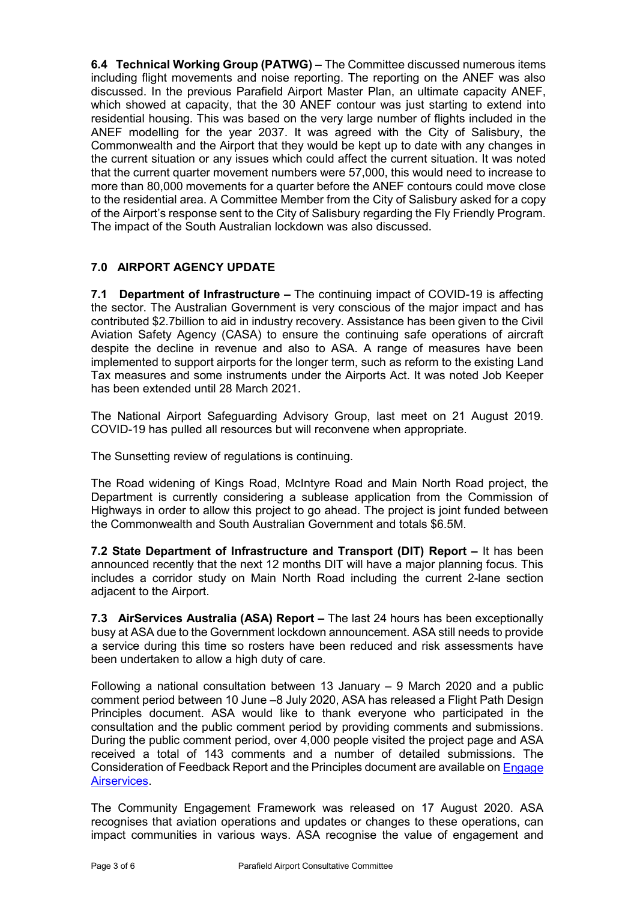**6.4 Technical Working Group (PATWG) –** The Committee discussed numerous items including flight movements and noise reporting. The reporting on the ANEF was also discussed. In the previous Parafield Airport Master Plan, an ultimate capacity ANEF, which showed at capacity, that the 30 ANEF contour was just starting to extend into residential housing. This was based on the very large number of flights included in the ANEF modelling for the year 2037. It was agreed with the City of Salisbury, the Commonwealth and the Airport that they would be kept up to date with any changes in the current situation or any issues which could affect the current situation. It was noted that the current quarter movement numbers were 57,000, this would need to increase to more than 80,000 movements for a quarter before the ANEF contours could move close to the residential area. A Committee Member from the City of Salisbury asked for a copy of the Airport's response sent to the City of Salisbury regarding the Fly Friendly Program. The impact of the South Australian lockdown was also discussed.

# **7.0 AIRPORT AGENCY UPDATE**

**7.1 Department of Infrastructure –** The continuing impact of COVID-19 is affecting the sector. The Australian Government is very conscious of the major impact and has contributed \$2.7billion to aid in industry recovery. Assistance has been given to the Civil Aviation Safety Agency (CASA) to ensure the continuing safe operations of aircraft despite the decline in revenue and also to ASA. A range of measures have been implemented to support airports for the longer term, such as reform to the existing Land Tax measures and some instruments under the Airports Act. It was noted Job Keeper has been extended until 28 March 2021.

The National Airport Safeguarding Advisory Group, last meet on 21 August 2019. COVID-19 has pulled all resources but will reconvene when appropriate.

The Sunsetting review of regulations is continuing.

The Road widening of Kings Road, McIntyre Road and Main North Road project, the Department is currently considering a sublease application from the Commission of Highways in order to allow this project to go ahead. The project is joint funded between the Commonwealth and South Australian Government and totals \$6.5M.

**7.2 State Department of Infrastructure and Transport (DIT) Report –** It has been announced recently that the next 12 months DIT will have a major planning focus. This includes a corridor study on Main North Road including the current 2-lane section adjacent to the Airport.

**7.3 AirServices Australia (ASA) Report –** The last 24 hours has been exceptionally busy at ASA due to the Government lockdown announcement. ASA still needs to provide a service during this time so rosters have been reduced and risk assessments have been undertaken to allow a high duty of care.

Following a national consultation between 13 January – 9 March 2020 and a public comment period between 10 June –8 July 2020, ASA has released a Flight Path Design Principles document. ASA would like to thank everyone who participated in the consultation and the public comment period by providing comments and submissions. During the public comment period, over 4,000 people visited the project page and ASA received a total of 143 comments and a number of detailed submissions. The Consideration of Feedback Report and the Principles document are available on [Engage](https://engage.airservicesaustralia.com/) [Airservices.](https://engage.airservicesaustralia.com/)

The Community Engagement Framework was released on 17 August 2020. ASA recognises that aviation operations and updates or changes to these operations, can impact communities in various ways. ASA recognise the value of engagement and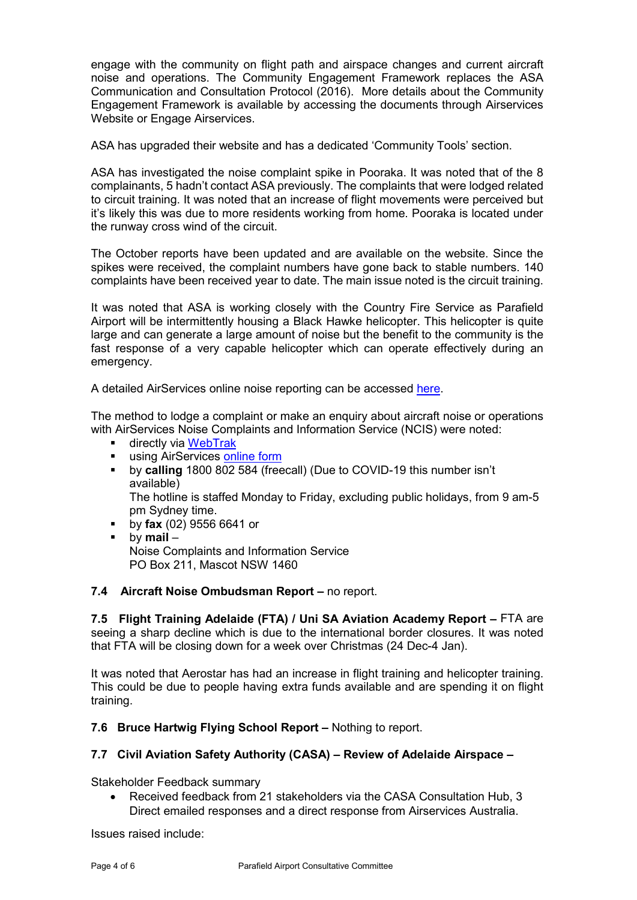engage with the community on flight path and airspace changes and current aircraft noise and operations. The Community Engagement Framework replaces the ASA Communication and Consultation Protocol (2016). More details about the Community Engagement Framework is available by accessing the documents through Airservices Website or Engage Airservices.

ASA has upgraded their website and has a dedicated 'Community Tools' section.

ASA has investigated the noise complaint spike in Pooraka. It was noted that of the 8 complainants, 5 hadn't contact ASA previously. The complaints that were lodged related to circuit training. It was noted that an increase of flight movements were perceived but it's likely this was due to more residents working from home. Pooraka is located under the runway cross wind of the circuit.

The October reports have been updated and are available on the website. Since the spikes were received, the complaint numbers have gone back to stable numbers. 140 complaints have been received year to date. The main issue noted is the circuit training.

It was noted that ASA is working closely with the Country Fire Service as Parafield Airport will be intermittently housing a Black Hawke helicopter. This helicopter is quite large and can generate a large amount of noise but the benefit to the community is the fast response of a very capable helicopter which can operate effectively during an emergency.

A detailed AirServices online noise reporting can be accessed [here.](http://www.airservicesaustralia.com/aircraftnoise/airports/)

The method to lodge a complaint or make an enquiry about aircraft noise or operations with AirServices Noise Complaints and Information Service (NCIS) were noted:

- **directly via [WebTrak](http://www.airservicesaustralia.com/aircraftnoise/webtrak/)**
- **using AirServices [online form](http://www.airservicesaustralia.com/aircraftnoise/about-making-a-complaint/how-to-make-a-complaint/)**
- by **calling** 1800 802 584 (freecall) (Due to COVID-19 this number isn't available)

The hotline is staffed Monday to Friday, excluding public holidays, from 9 am-5 pm Sydney time.

- by **fax** (02) 9556 6641 or
- by **mail** Noise Complaints and Information Service PO Box 211, Mascot NSW 1460

## **7.4 Aircraft Noise Ombudsman Report –** no report.

**7.5 Flight Training Adelaide (FTA) / Uni SA Aviation Academy Report –** FTA are seeing a sharp decline which is due to the international border closures. It was noted that FTA will be closing down for a week over Christmas (24 Dec-4 Jan).

It was noted that Aerostar has had an increase in flight training and helicopter training. This could be due to people having extra funds available and are spending it on flight training.

**7.6 Bruce Hartwig Flying School Report –** Nothing to report.

# **7.7 Civil Aviation Safety Authority (CASA) – Review of Adelaide Airspace –**

Stakeholder Feedback summary

• Received feedback from 21 stakeholders via the CASA Consultation Hub, 3 Direct emailed responses and a direct response from Airservices Australia.

Issues raised include: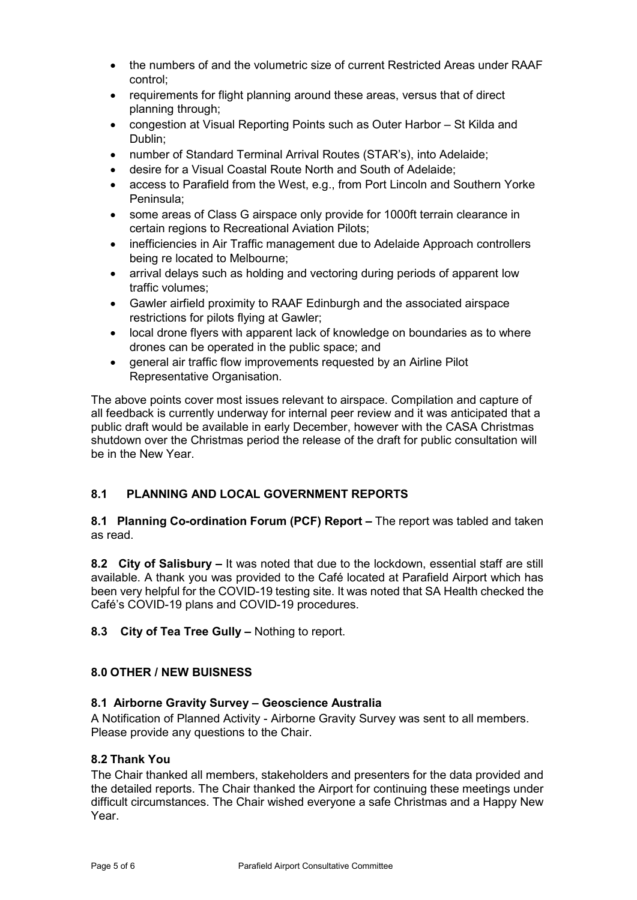- the numbers of and the volumetric size of current Restricted Areas under RAAF control;
- requirements for flight planning around these areas, versus that of direct planning through;
- congestion at Visual Reporting Points such as Outer Harbor St Kilda and Dublin;
- number of Standard Terminal Arrival Routes (STAR's), into Adelaide;
- desire for a Visual Coastal Route North and South of Adelaide;
- access to Parafield from the West, e.g., from Port Lincoln and Southern Yorke Peninsula;
- some areas of Class G airspace only provide for 1000ft terrain clearance in certain regions to Recreational Aviation Pilots;
- inefficiencies in Air Traffic management due to Adelaide Approach controllers being re located to Melbourne;
- arrival delays such as holding and vectoring during periods of apparent low traffic volumes;
- Gawler airfield proximity to RAAF Edinburgh and the associated airspace restrictions for pilots flying at Gawler;
- local drone flyers with apparent lack of knowledge on boundaries as to where drones can be operated in the public space; and
- general air traffic flow improvements requested by an Airline Pilot Representative Organisation.

The above points cover most issues relevant to airspace. Compilation and capture of all feedback is currently underway for internal peer review and it was anticipated that a public draft would be available in early December, however with the CASA Christmas shutdown over the Christmas period the release of the draft for public consultation will be in the New Year.

# **8.1 PLANNING AND LOCAL GOVERNMENT REPORTS**

## **8.1 Planning Co-ordination Forum (PCF) Report –** The report was tabled and taken as read.

**8.2 City of Salisbury –** It was noted that due to the lockdown, essential staff are still available. A thank you was provided to the Café located at Parafield Airport which has been very helpful for the COVID-19 testing site. It was noted that SA Health checked the Café's COVID-19 plans and COVID-19 procedures.

# **8.3 City of Tea Tree Gully –** Nothing to report.

# **8.0 OTHER / NEW BUISNESS**

## **8.1 Airborne Gravity Survey – Geoscience Australia**

A Notification of Planned Activity - Airborne Gravity Survey was sent to all members. Please provide any questions to the Chair.

## **8.2 Thank You**

The Chair thanked all members, stakeholders and presenters for the data provided and the detailed reports. The Chair thanked the Airport for continuing these meetings under difficult circumstances. The Chair wished everyone a safe Christmas and a Happy New Year.